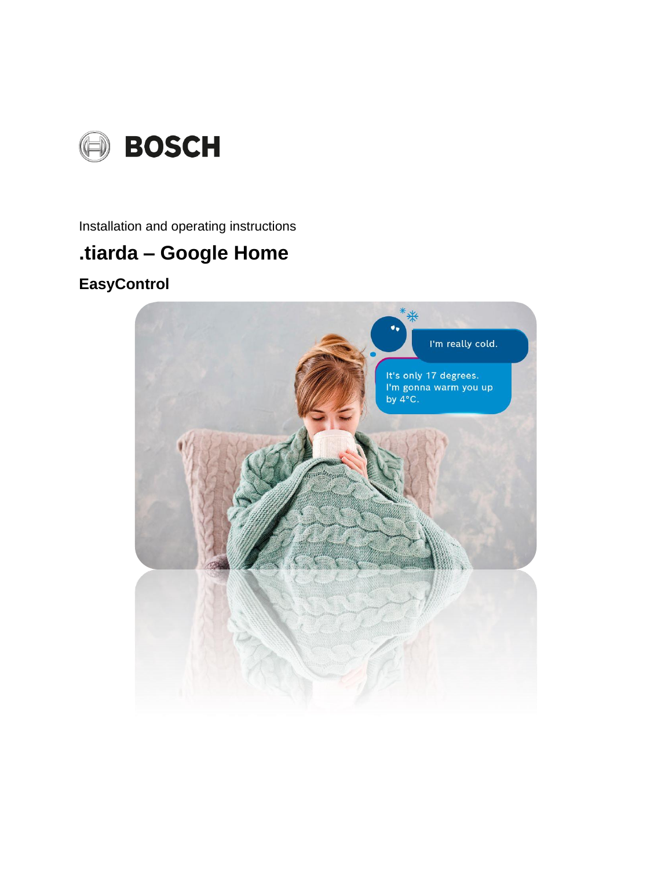

Installation and operating instructions

# .tiarda - Google Home

## **EasyControl**

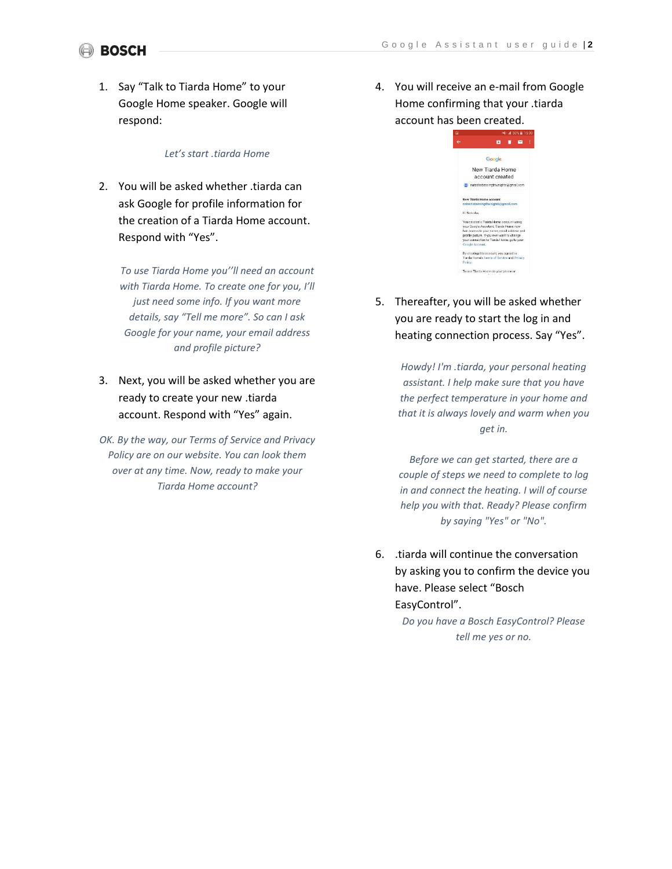## (a) BOSCH

1. Say "Talk to Tiarda Home" to your Google Home speaker. Google will respond:

#### *Let's start .tiarda Home*

2. You will be asked whether .tiarda can ask Google for profile information for the creation of a Tiarda Home account. Respond with "Yes".

*To use Tiarda Home you''ll need an account with Tiarda Home. To create one for you, I'll just need some info. If you want more details, say "Tell me more". So can I ask Google for your name, your email address and profile picture?*

3. Next, you will be asked whether you are ready to create your new .tiarda account. Respond with "Yes" again.

*OK. By the way, our Terms of Service and Privacy Policy are on our website. You can look them over at any time. Now, ready to make your Tiarda Home account?*

4. You will receive an e-mail from Google Home confirming that your .tiarda account has been created.

| $-4.59\% \equiv 15.00$                                                                                                                                                                                                                          |  |
|-------------------------------------------------------------------------------------------------------------------------------------------------------------------------------------------------------------------------------------------------|--|
| ×                                                                                                                                                                                                                                               |  |
| Google                                                                                                                                                                                                                                          |  |
| New Tiarda Home                                                                                                                                                                                                                                 |  |
| account created                                                                                                                                                                                                                                 |  |
| natashabassingthweighte@gmail.com                                                                                                                                                                                                               |  |
| New Tiarda Home account<br>natashabassingthwaighte@gmail.com                                                                                                                                                                                    |  |
| Hi Natasha.                                                                                                                                                                                                                                     |  |
| You created a Tiarda Home account using<br>your Google Assistant. Tiarda Home now<br>has access to your name, email address and<br>profile picture. If you ever want to change<br>your connection to Tiarda Home, go to your<br>Google Account. |  |
| By creating this account, you agreed to<br>Tiarda Home's Terms of Service and Privacy<br>Policy.                                                                                                                                                |  |
| To use Tiarda Home on your chone or                                                                                                                                                                                                             |  |

5. Thereafter, you will be asked whether you are ready to start the log in and heating connection process. Say "Yes".

> *Howdy! I'm .tiarda, your personal heating assistant. I help make sure that you have the perfect temperature in your home and that it is always lovely and warm when you get in.*

> *Before we can get started, there are a couple of steps we need to complete to log in and connect the heating. I will of course help you with that. Ready? Please confirm by saying "Yes" or "No".*

6. .tiarda will continue the conversation by asking you to confirm the device you have. Please select "Bosch EasyControl".

> *Do you have a Bosch EasyControl? Please tell me yes or no.*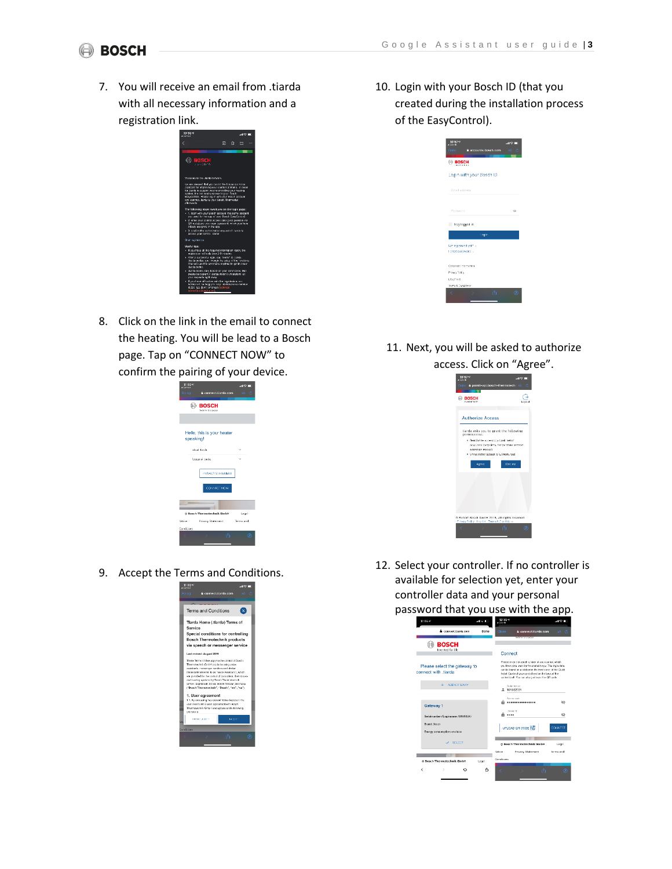## **BOSCH**

7. You will receive an email from .tiarda with all necessary information and a registration link.



8. Click on the link in the email to connect the heating. You will be lead to a Bosch page. Tap on "CONNECT NOW" to confirm the pairing of your device.

| $11:00*$<br><b>Christine</b> |                                    | $-10o$    |
|------------------------------|------------------------------------|-----------|
| Fertig                       | 2 connect tiarda.com               | AA.<br>e. |
|                              | <b>BOSCH</b><br>Technik fürs Leben |           |
|                              |                                    |           |
| speaking!                    | Hello, this is your heater         |           |
|                              | about tierds.                      |           |
|                              | Usege of Jarda                     |           |
|                              | PRIVACY STATEMENT<br>CONNECT NOW   |           |
| ٠                            |                                    |           |
|                              | © Bosch Thermotechnik GmbH         | Legal     |
| Notice                       | <b>Frivacy Statement</b>           | Terms and |
| Condizions                   |                                    |           |
|                              | 査                                  | ⋒         |

9. Accept the Terms and Conditions.



10. Login with your Bosch ID (that you created during the installation process of the EasyControl).

| $10:57 - $<br>4 Founds                      |                          | $-12$     |
|---------------------------------------------|--------------------------|-----------|
| Done                                        | P accounts bosch.com     | AA.<br>c. |
| <b>EROSCH</b><br><b>Call and in this is</b> |                          |           |
|                                             | Login with your Bosch ID |           |
| Email address                               |                          |           |
| Password                                    |                          | œ.        |
| Stay logged in                              |                          |           |
|                                             | lingin                   |           |
| Not registered yet? ><br>Chowased formal    |                          |           |
| Concorate Information                       |                          |           |
| Piscy Fility                                |                          |           |
| Letal Voor                                  |                          |           |
| TempA Conditions                            |                          |           |
| ë                                           | 査                        | $\omega$  |

### 11. Next, you will be asked to authorize access. Click on "Agree".

| <b>Authorize Access</b>                       |
|-----------------------------------------------|
| tiarda asks you to grant the following        |
| . Deadler the access to a basic set of        |
| maguros tarrogints, temperature sensors.      |
| · Unrestricted access to all resources        |
| Decline                                       |
|                                               |
|                                               |
|                                               |
|                                               |
|                                               |
|                                               |
| @ Robert Bosch GmbH 2019, all rights reserved |
|                                               |

12. Select your controller. If no controller is available for selection yet, enter your controller data and your personal password that you use with the app.